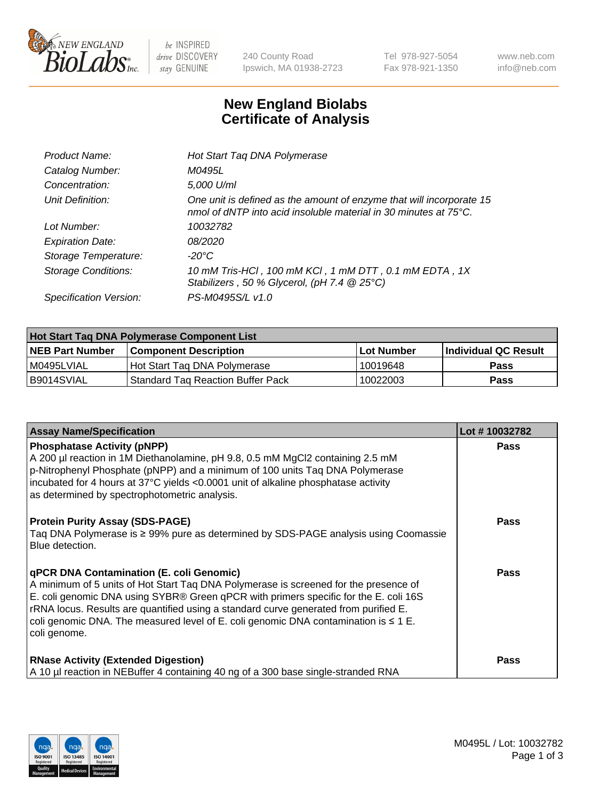

 $be$  INSPIRED drive DISCOVERY stay GENUINE

240 County Road Ipswich, MA 01938-2723 Tel 978-927-5054 Fax 978-921-1350 www.neb.com info@neb.com

## **New England Biolabs Certificate of Analysis**

| Hot Start Taq DNA Polymerase                                                                                                                       |
|----------------------------------------------------------------------------------------------------------------------------------------------------|
| M0495L                                                                                                                                             |
| 5,000 U/ml                                                                                                                                         |
| One unit is defined as the amount of enzyme that will incorporate 15<br>nmol of dNTP into acid insoluble material in 30 minutes at $75^{\circ}$ C. |
| 10032782                                                                                                                                           |
| 08/2020                                                                                                                                            |
| -20°C                                                                                                                                              |
| 10 mM Tris-HCl, 100 mM KCl, 1 mM DTT, 0.1 mM EDTA, 1X<br>Stabilizers, 50 % Glycerol, (pH 7.4 $@25°C$ )                                             |
| PS-M0495S/L v1.0                                                                                                                                   |
|                                                                                                                                                    |

| Hot Start Taq DNA Polymerase Component List |                                    |                   |                             |  |
|---------------------------------------------|------------------------------------|-------------------|-----------------------------|--|
| <b>NEB Part Number</b>                      | l Component Description            | <b>Lot Number</b> | <b>Individual QC Result</b> |  |
| I M0495LVIAL                                | Hot Start Tag DNA Polymerase       | 10019648          | <b>Pass</b>                 |  |
| B9014SVIAL                                  | 'Standard Tag Reaction Buffer Pack | 10022003          | Pass                        |  |

| <b>Assay Name/Specification</b>                                                                                                                                                                                                                                                                                                                                                                                                       | Lot #10032782 |
|---------------------------------------------------------------------------------------------------------------------------------------------------------------------------------------------------------------------------------------------------------------------------------------------------------------------------------------------------------------------------------------------------------------------------------------|---------------|
| <b>Phosphatase Activity (pNPP)</b><br>A 200 µl reaction in 1M Diethanolamine, pH 9.8, 0.5 mM MgCl2 containing 2.5 mM<br>$\vert$ p-Nitrophenyl Phosphate (pNPP) and a minimum of 100 units Taq DNA Polymerase<br>incubated for 4 hours at 37°C yields <0.0001 unit of alkaline phosphatase activity<br>as determined by spectrophotometric analysis.                                                                                   | <b>Pass</b>   |
| <b>Protein Purity Assay (SDS-PAGE)</b><br>Taq DNA Polymerase is ≥ 99% pure as determined by SDS-PAGE analysis using Coomassie<br>Blue detection.                                                                                                                                                                                                                                                                                      | Pass          |
| <b>qPCR DNA Contamination (E. coli Genomic)</b><br>A minimum of 5 units of Hot Start Tag DNA Polymerase is screened for the presence of<br>E. coli genomic DNA using SYBR® Green qPCR with primers specific for the E. coli 16S<br>  rRNA locus. Results are quantified using a standard curve generated from purified E.<br>coli genomic DNA. The measured level of E. coli genomic DNA contamination is $\leq 1$ E.<br>coli genome. | <b>Pass</b>   |
| <b>RNase Activity (Extended Digestion)</b><br>A 10 µl reaction in NEBuffer 4 containing 40 ng of a 300 base single-stranded RNA                                                                                                                                                                                                                                                                                                       | <b>Pass</b>   |

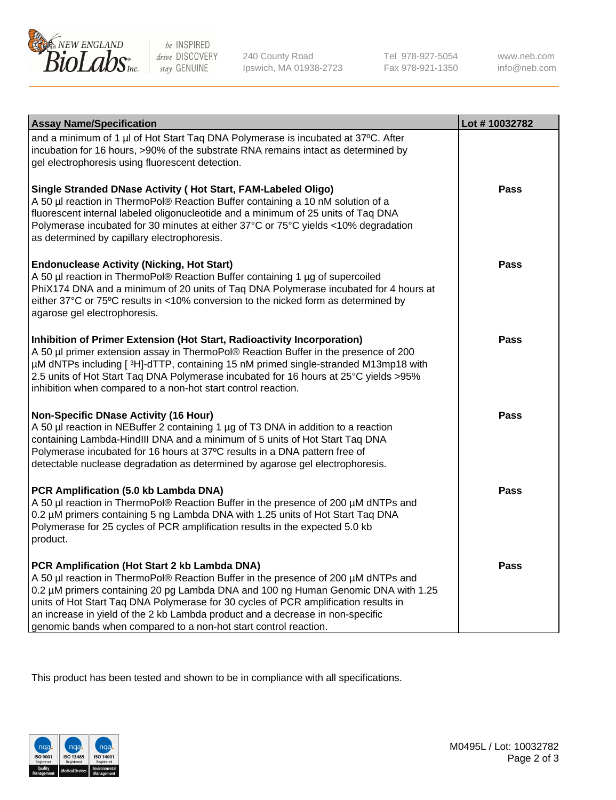

 $be$  INSPIRED drive DISCOVERY stay GENUINE

240 County Road Ipswich, MA 01938-2723 Tel 978-927-5054 Fax 978-921-1350 www.neb.com info@neb.com

| <b>Assay Name/Specification</b>                                                                                                                                                                                                                                                                                                                                                                                                                                       | Lot #10032782 |
|-----------------------------------------------------------------------------------------------------------------------------------------------------------------------------------------------------------------------------------------------------------------------------------------------------------------------------------------------------------------------------------------------------------------------------------------------------------------------|---------------|
| and a minimum of 1 µl of Hot Start Taq DNA Polymerase is incubated at 37°C. After<br>incubation for 16 hours, >90% of the substrate RNA remains intact as determined by<br>gel electrophoresis using fluorescent detection.                                                                                                                                                                                                                                           |               |
| Single Stranded DNase Activity (Hot Start, FAM-Labeled Oligo)<br>A 50 µl reaction in ThermoPol® Reaction Buffer containing a 10 nM solution of a<br>fluorescent internal labeled oligonucleotide and a minimum of 25 units of Taq DNA<br>Polymerase incubated for 30 minutes at either 37°C or 75°C yields <10% degradation<br>as determined by capillary electrophoresis.                                                                                            | Pass          |
| <b>Endonuclease Activity (Nicking, Hot Start)</b><br>A 50 µl reaction in ThermoPol® Reaction Buffer containing 1 µg of supercoiled<br>PhiX174 DNA and a minimum of 20 units of Taq DNA Polymerase incubated for 4 hours at<br>either 37°C or 75°C results in <10% conversion to the nicked form as determined by<br>agarose gel electrophoresis.                                                                                                                      | <b>Pass</b>   |
| Inhibition of Primer Extension (Hot Start, Radioactivity Incorporation)<br>A 50 µl primer extension assay in ThermoPol® Reaction Buffer in the presence of 200<br>µM dNTPs including [3H]-dTTP, containing 15 nM primed single-stranded M13mp18 with<br>2.5 units of Hot Start Taq DNA Polymerase incubated for 16 hours at 25°C yields >95%<br>inhibition when compared to a non-hot start control reaction.                                                         | <b>Pass</b>   |
| <b>Non-Specific DNase Activity (16 Hour)</b><br>A 50 µl reaction in NEBuffer 2 containing 1 µg of T3 DNA in addition to a reaction<br>containing Lambda-HindIII DNA and a minimum of 5 units of Hot Start Taq DNA<br>Polymerase incubated for 16 hours at 37°C results in a DNA pattern free of<br>detectable nuclease degradation as determined by agarose gel electrophoresis.                                                                                      | <b>Pass</b>   |
| PCR Amplification (5.0 kb Lambda DNA)<br>A 50 µl reaction in ThermoPol® Reaction Buffer in the presence of 200 µM dNTPs and<br>0.2 µM primers containing 5 ng Lambda DNA with 1.25 units of Hot Start Taq DNA<br>Polymerase for 25 cycles of PCR amplification results in the expected 5.0 kb<br>product.                                                                                                                                                             | <b>Pass</b>   |
| PCR Amplification (Hot Start 2 kb Lambda DNA)<br>A 50 µl reaction in ThermoPol® Reaction Buffer in the presence of 200 µM dNTPs and<br>0.2 µM primers containing 20 pg Lambda DNA and 100 ng Human Genomic DNA with 1.25<br>units of Hot Start Taq DNA Polymerase for 30 cycles of PCR amplification results in<br>an increase in yield of the 2 kb Lambda product and a decrease in non-specific<br>genomic bands when compared to a non-hot start control reaction. | Pass          |

This product has been tested and shown to be in compliance with all specifications.